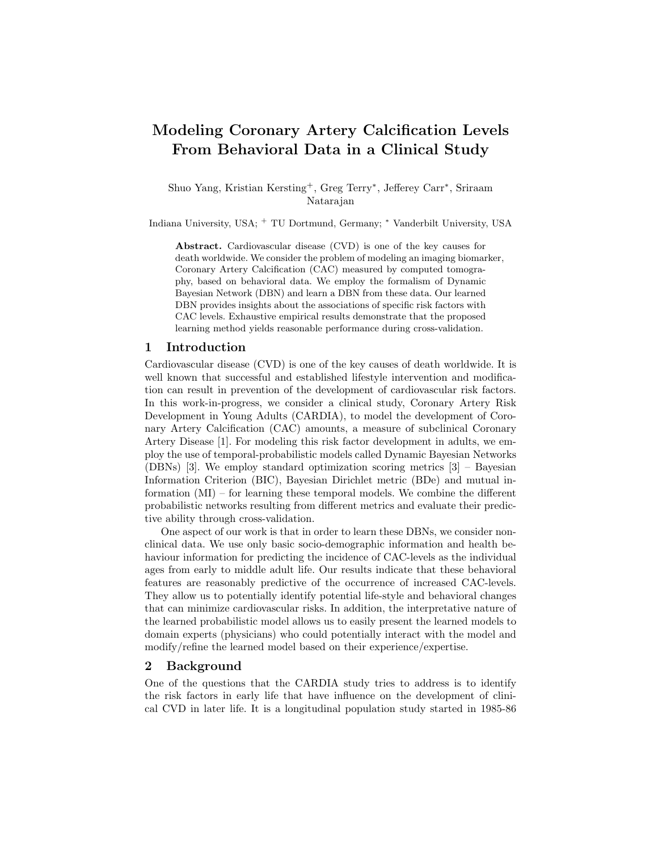# Modeling Coronary Artery Calcification Levels From Behavioral Data in a Clinical Study

Shuo Yang, Kristian Kersting+, Greg Terry<sup>∗</sup> , Jefferey Carr<sup>∗</sup> , Sriraam Natarajan

Indiana University, USA; <sup>+</sup> TU Dortmund, Germany; <sup>∗</sup> Vanderbilt University, USA

Abstract. Cardiovascular disease (CVD) is one of the key causes for death worldwide. We consider the problem of modeling an imaging biomarker, Coronary Artery Calcification (CAC) measured by computed tomography, based on behavioral data. We employ the formalism of Dynamic Bayesian Network (DBN) and learn a DBN from these data. Our learned DBN provides insights about the associations of specific risk factors with CAC levels. Exhaustive empirical results demonstrate that the proposed learning method yields reasonable performance during cross-validation.

#### 1 Introduction

Cardiovascular disease (CVD) is one of the key causes of death worldwide. It is well known that successful and established lifestyle intervention and modification can result in prevention of the development of cardiovascular risk factors. In this work-in-progress, we consider a clinical study, Coronary Artery Risk Development in Young Adults (CARDIA), to model the development of Coronary Artery Calcification (CAC) amounts, a measure of subclinical Coronary Artery Disease [1]. For modeling this risk factor development in adults, we employ the use of temporal-probabilistic models called Dynamic Bayesian Networks (DBNs) [3]. We employ standard optimization scoring metrics [3] – Bayesian Information Criterion (BIC), Bayesian Dirichlet metric (BDe) and mutual information (MI) – for learning these temporal models. We combine the different probabilistic networks resulting from different metrics and evaluate their predictive ability through cross-validation.

One aspect of our work is that in order to learn these DBNs, we consider nonclinical data. We use only basic socio-demographic information and health behaviour information for predicting the incidence of CAC-levels as the individual ages from early to middle adult life. Our results indicate that these behavioral features are reasonably predictive of the occurrence of increased CAC-levels. They allow us to potentially identify potential life-style and behavioral changes that can minimize cardiovascular risks. In addition, the interpretative nature of the learned probabilistic model allows us to easily present the learned models to domain experts (physicians) who could potentially interact with the model and modify/refine the learned model based on their experience/expertise.

### 2 Background

One of the questions that the CARDIA study tries to address is to identify the risk factors in early life that have influence on the development of clinical CVD in later life. It is a longitudinal population study started in 1985-86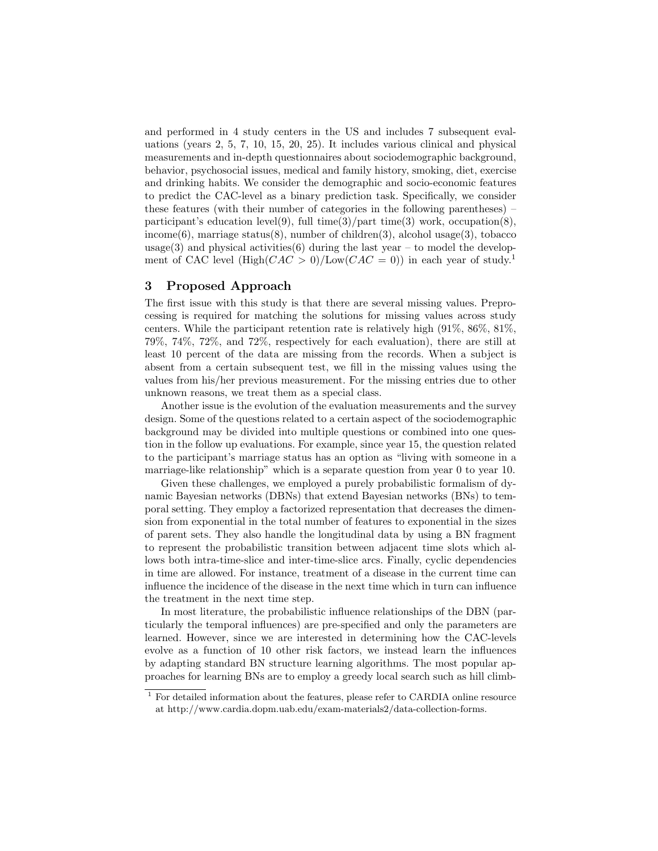and performed in 4 study centers in the US and includes 7 subsequent evaluations (years 2, 5, 7, 10, 15, 20, 25). It includes various clinical and physical measurements and in-depth questionnaires about sociodemographic background, behavior, psychosocial issues, medical and family history, smoking, diet, exercise and drinking habits. We consider the demographic and socio-economic features to predict the CAC-level as a binary prediction task. Specifically, we consider these features (with their number of categories in the following parentheses) – participant's education level(9), full time(3)/part time(3) work, occupation(8), income(6), marriage status(8), number of children(3), alcohol usage(3), tobacco usage(3) and physical activities(6) during the last year – to model the development of CAC level  $(High(CAC > 0)/Low(CAC = 0))$  in each year of study.<sup>1</sup>

# 3 Proposed Approach

The first issue with this study is that there are several missing values. Preprocessing is required for matching the solutions for missing values across study centers. While the participant retention rate is relatively high (91%, 86%, 81%, 79%, 74%, 72%, and 72%, respectively for each evaluation), there are still at least 10 percent of the data are missing from the records. When a subject is absent from a certain subsequent test, we fill in the missing values using the values from his/her previous measurement. For the missing entries due to other unknown reasons, we treat them as a special class.

Another issue is the evolution of the evaluation measurements and the survey design. Some of the questions related to a certain aspect of the sociodemographic background may be divided into multiple questions or combined into one question in the follow up evaluations. For example, since year 15, the question related to the participant's marriage status has an option as "living with someone in a marriage-like relationship" which is a separate question from year 0 to year 10.

Given these challenges, we employed a purely probabilistic formalism of dynamic Bayesian networks (DBNs) that extend Bayesian networks (BNs) to temporal setting. They employ a factorized representation that decreases the dimension from exponential in the total number of features to exponential in the sizes of parent sets. They also handle the longitudinal data by using a BN fragment to represent the probabilistic transition between adjacent time slots which allows both intra-time-slice and inter-time-slice arcs. Finally, cyclic dependencies in time are allowed. For instance, treatment of a disease in the current time can influence the incidence of the disease in the next time which in turn can influence the treatment in the next time step.

In most literature, the probabilistic influence relationships of the DBN (particularly the temporal influences) are pre-specified and only the parameters are learned. However, since we are interested in determining how the CAC-levels evolve as a function of 10 other risk factors, we instead learn the influences by adapting standard BN structure learning algorithms. The most popular approaches for learning BNs are to employ a greedy local search such as hill climb-

 $^{\rm 1}$  For detailed information about the features, please refer to CARDIA online resource at http://www.cardia.dopm.uab.edu/exam-materials2/data-collection-forms.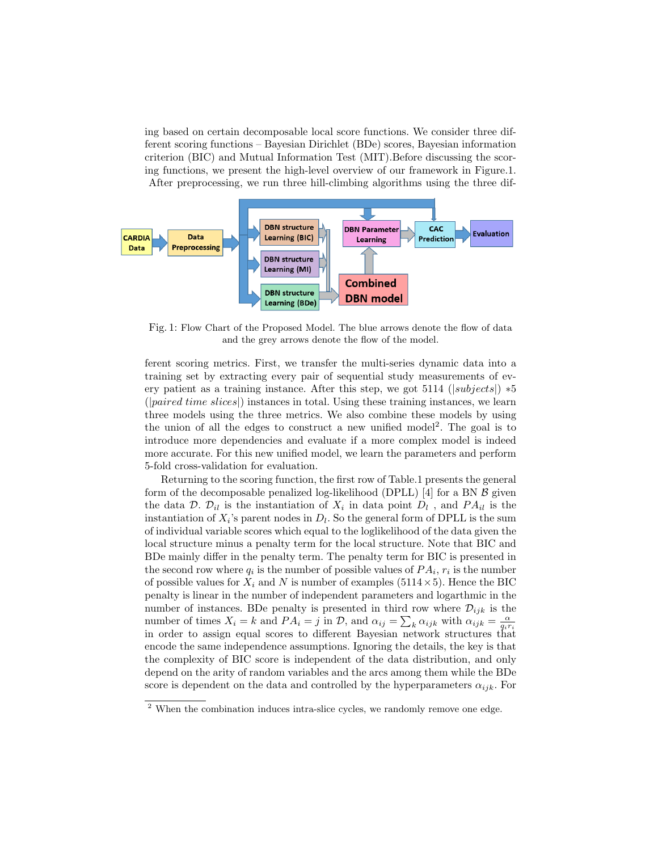ing based on certain decomposable local score functions. We consider three different scoring functions – Bayesian Dirichlet (BDe) scores, Bayesian information criterion (BIC) and Mutual Information Test (MIT).Before discussing the scoring functions, we present the high-level overview of our framework in Figure.1. After preprocessing, we run three hill-climbing algorithms using the three dif-



Fig. 1: Flow Chart of the Proposed Model. The blue arrows denote the flow of data and the grey arrows denote the flow of the model.

ferent scoring metrics. First, we transfer the multi-series dynamic data into a training set by extracting every pair of sequential study measurements of every patient as a training instance. After this step, we got  $5114$  ( $|subjects|$ )  $*5$ (|paired time slices|) instances in total. Using these training instances, we learn three models using the three metrics. We also combine these models by using the union of all the edges to construct a new unified model<sup>2</sup>. The goal is to introduce more dependencies and evaluate if a more complex model is indeed more accurate. For this new unified model, we learn the parameters and perform 5-fold cross-validation for evaluation.

Returning to the scoring function, the first row of Table.1 presents the general form of the decomposable penalized log-likelihood (DPLL) [4] for a BN  $\beta$  given the data D.  $\mathcal{D}_{il}$  is the instantiation of  $X_i$  in data point  $D_l$ , and  $PA_{il}$  is the instantiation of  $X_i$ 's parent nodes in  $D_l$ . So the general form of DPLL is the sum of individual variable scores which equal to the loglikelihood of the data given the local structure minus a penalty term for the local structure. Note that BIC and BDe mainly differ in the penalty term. The penalty term for BIC is presented in the second row where  $q_i$  is the number of possible values of  $PA_i$ ,  $r_i$  is the number of possible values for  $X_i$  and N is number of examples (5114  $\times$  5). Hence the BIC penalty is linear in the number of independent parameters and logarthmic in the number of instances. BDe penalty is presented in third row where  $\mathcal{D}_{ijk}$  is the number of times  $X_i = k$  and  $PA_i = j$  in  $D$ , and  $\alpha_{ij} = \sum_k \alpha_{ijk}$  with  $\alpha_{ijk} = \frac{\alpha}{q_i r_i}$ in order to assign equal scores to different Bayesian network structures that encode the same independence assumptions. Ignoring the details, the key is that the complexity of BIC score is independent of the data distribution, and only depend on the arity of random variables and the arcs among them while the BDe score is dependent on the data and controlled by the hyperparameters  $\alpha_{ijk}$ . For

<sup>&</sup>lt;sup>2</sup> When the combination induces intra-slice cycles, we randomly remove one edge.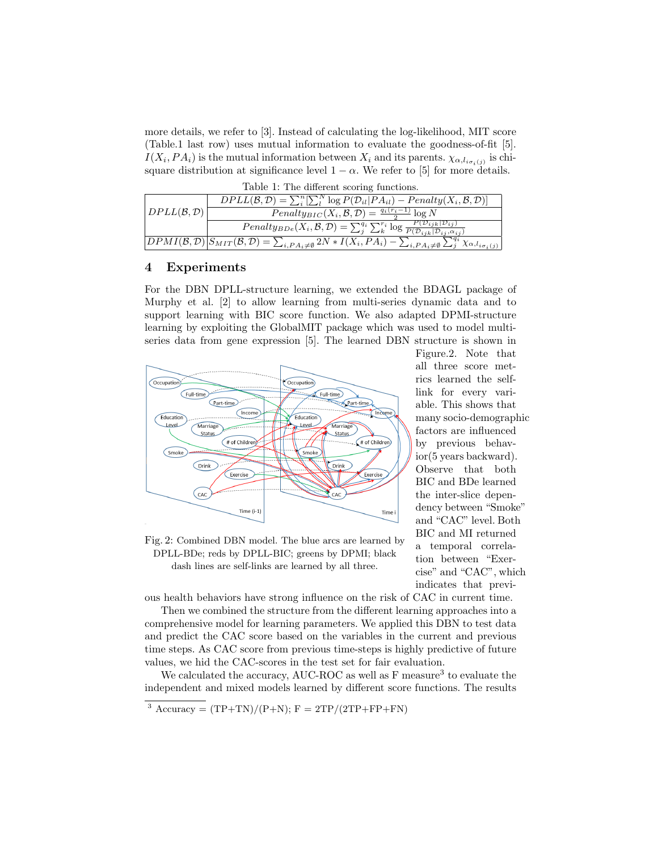more details, we refer to [3]. Instead of calculating the log-likelihood, MIT score (Table.1 last row) uses mutual information to evaluate the goodness-of-fit [5].  $I(X_i, PA_i)$  is the mutual information between  $X_i$  and its parents.  $\chi_{\alpha, l_{i\sigma_i(j)}}$  is chisquare distribution at significance level  $1 - \alpha$ . We refer to [5] for more details.

Table 1: The different scoring functions.

|            | $DPLL(\mathcal{B}, \mathcal{D}) = \sum_{i}^{n} [\sum_{l}^{N} \log P(\mathcal{D}_{il}   PA_{il}) - Penalty(X_i, \mathcal{B}, \mathcal{D})]$                                                              |  |  |  |  |  |  |  |  |
|------------|---------------------------------------------------------------------------------------------------------------------------------------------------------------------------------------------------------|--|--|--|--|--|--|--|--|
| DPLL(B, D) | $Penalty_{BIC}(X_i, \mathcal{B}, \mathcal{D}) = \frac{q_i(\overline{r_i-1})}{2} \log N$                                                                                                                 |  |  |  |  |  |  |  |  |
|            | $Penalty_{BDe}(X_i, \mathcal{B}, \mathcal{D}) = \sum_{j}^{q_i} \sum_{k}^{r_i} \log \frac{P(\mathcal{D}_{ijk}   \mathcal{D}_{ij})}{P(\mathcal{D}_{ijk}   \mathcal{D}_{ij}, \alpha_{ij})}$                |  |  |  |  |  |  |  |  |
|            | $[DPMI(\mathcal{B}, \mathcal{D})   S_{MIT}(\mathcal{B}, \mathcal{D}) = \sum_{i, PA_i \neq \emptyset} 2N * I(X_i, PA_i) - \sum_{i, PA_i \neq \emptyset} \sum_{j}^{q_i} \chi_{\alpha, l_{i \sigma_i(j)}}$ |  |  |  |  |  |  |  |  |

## 4 Experiments

For the DBN DPLL-structure learning, we extended the BDAGL package of Murphy et al. [2] to allow learning from multi-series dynamic data and to support learning with BIC score function. We also adapted DPMI-structure learning by exploiting the GlobalMIT package which was used to model multiseries data from gene expression [5]. The learned DBN structure is shown in



Fig. 2: Combined DBN model. The blue arcs are learned by DPLL-BDe; reds by DPLL-BIC; greens by DPMI; black dash lines are self-links are learned by all three.

Figure.2. Note that all three score metrics learned the selflink for every variable. This shows that many socio-demographic factors are influenced by previous behavior(5 years backward). Observe that both BIC and BDe learned the inter-slice dependency between "Smoke" and "CAC" level. Both BIC and MI returned a temporal correlation between "Exercise" and "CAC", which indicates that previ-

ous health behaviors have strong influence on the risk of CAC in current time.

Then we combined the structure from the different learning approaches into a comprehensive model for learning parameters. We applied this DBN to test data and predict the CAC score based on the variables in the current and previous time steps. As CAC score from previous time-steps is highly predictive of future values, we hid the CAC-scores in the test set for fair evaluation.

We calculated the accuracy, AUC-ROC as well as F measure<sup>3</sup> to evaluate the independent and mixed models learned by different score functions. The results

 $\overline{3 \text{ Accuracy}} = (\text{TP} + \text{TN})/(\text{P+N}); \text{F} = 2\text{TP}/(2\text{TP} + \text{FP} + \text{FN})$